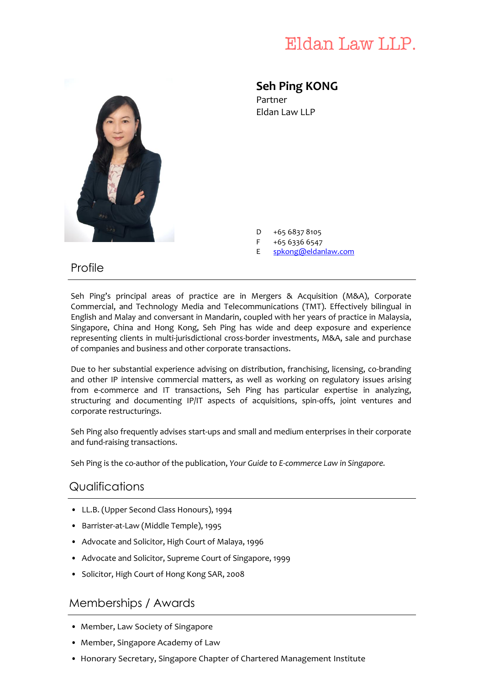# Eldan Law LLP.



## **Seh Ping KONG**

Partner Eldan Law LLP

- D +65 6837 8105
- F +65 6336 6547
- E [spkong@eldanlaw.com](mailto:spkong@eldanlaw.com)

### Profile

Seh Ping's principal areas of practice are in Mergers & Acquisition (M&A), Corporate Commercial, and Technology Media and Telecommunications (TMT). Effectively bilingual in English and Malay and conversant in Mandarin, coupled with her years of practice in Malaysia, Singapore, China and Hong Kong, Seh Ping has wide and deep exposure and experience representing clients in multi-jurisdictional cross-border investments, M&A, sale and purchase of companies and business and other corporate transactions.

Due to her substantial experience advising on distribution, franchising, licensing, co-branding and other IP intensive commercial matters, as well as working on regulatory issues arising from e-commerce and IT transactions, Seh Ping has particular expertise in analyzing, structuring and documenting IP/IT aspects of acquisitions, spin-offs, joint ventures and corporate restructurings.

Seh Ping also frequently advises start-ups and small and medium enterprises in their corporate and fund-raising transactions.

Seh Ping is the co-author of the publication, *Your Guide to E-commerce Law in Singapore.*

### **Qualifications**

- LL.B. (Upper Second Class Honours), 1994
- Barrister-at-Law (Middle Temple), 1995
- Advocate and Solicitor, High Court of Malaya, 1996
- Advocate and Solicitor, Supreme Court of Singapore, 1999
- Solicitor, High Court of Hong Kong SAR, 2008

### Memberships / Awards

- Member, Law Society of Singapore
- Member, Singapore Academy of Law
- Honorary Secretary, Singapore Chapter of Chartered Management Institute